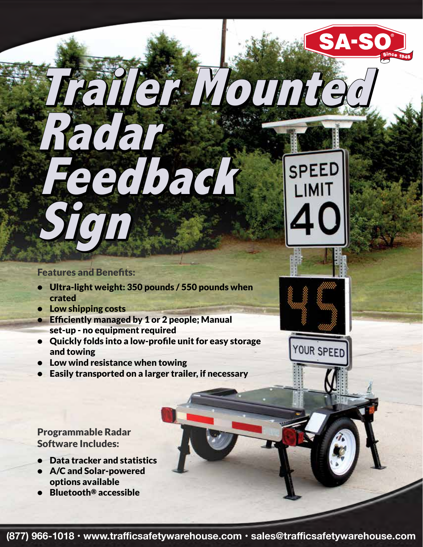#### **Features and Benefits:**

**Sign Sign**

**Radar Radar**

• Ultra-light weight: 350 pounds / 550 pounds when crated

 **Feedback Feedback**

- Low shipping costs
- **Efficiently managed by 1 or 2 people; Manual** set-up - no equipment required
- Quickly folds into a low-profle unit for easy storage and towing
- Low wind resistance when towing
- Easily transported on a larger trailer, if necessary

#### Programmable Radar Software Includes:

- Data tracker and statistics
- A/C and Solar-powered options available
- Bluetooth® accessible



**Trailer Mounted Trailer Mounted**

SA-SO

SPEED

LIMIT

YOUR SPEED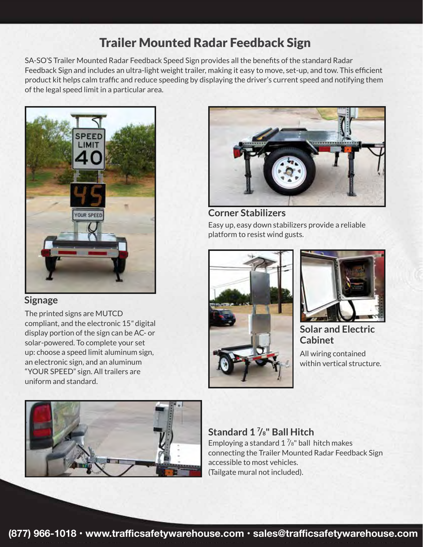## Trailer Mounted Radar Feedback Sign

SA-SO'S Trailer Mounted Radar Feedback Speed Sign provides all the benefts of the standard Radar Feedback Sign and includes an ultra-light weight trailer, making it easy to move, set-up, and tow. This effcient product kit helps calm traffc and reduce speeding by displaying the driver's current speed and notifying them of the legal speed limit in a particular area.



#### **Signage**

The printed signs are MUTCD compliant, and the electronic 15*"* digital display portion of the sign can be AC- or solar-powered. To complete your set up: choose a speed limit aluminum sign, an electronic sign, and an aluminum "YOUR SPEED" sign. All trailers are uniform and standard.





Easy up, easy down stabilizers provide a reliable platform to resist wind gusts. **Corner Stabilizers**





**Solar and Electric Cabinet**

All wiring contained within vertical structure.

Employing a standard  $1\frac{7}{8}$ " ball hitch makes connecting the Trailer Mounted Radar Feedback Sign accessible to most vehicles. (Tailgate mural not included). **Standard 1 7 /8" Ball Hitch**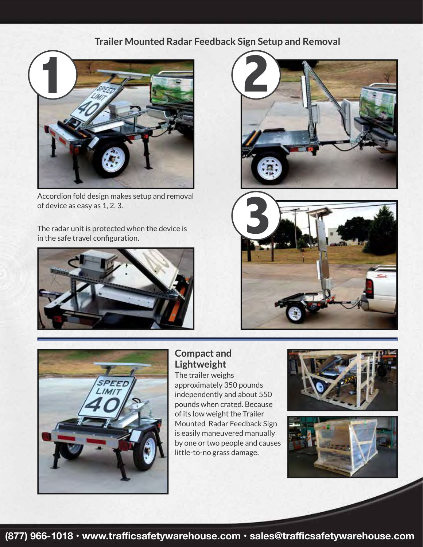### **Trailer Mounted Radar Feedback Sign Setup and Removal**



Accordion fold design makes setup and removal of device as easy as 1, 2, 3.

The radar unit is protected when the device is in the safe travel confguration.









#### **Compact and Lightweight**

The trailer weighs approximately 350 pounds independently and about 550 pounds when crated. Because of its low weight the Trailer Mounted Radar Feedback Sign is easily maneuvered manually by one or two people and causes little-to-no grass damage.